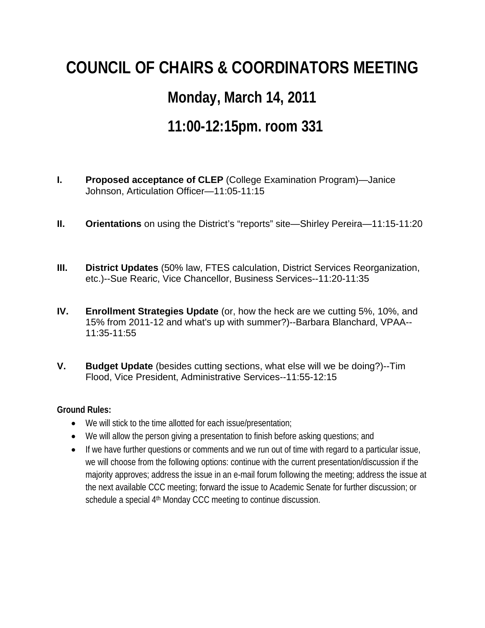## **COUNCIL OF CHAIRS & COORDINATORS MEETING**

## **Monday, March 14, 2011**

## **11:00-12:15pm. room 331**

- **I. Proposed acceptance of CLEP** (College Examination Program)—Janice Johnson, Articulation Officer—11:05-11:15
- **II. Orientations** on using the District's "reports" site—Shirley Pereira—11:15-11:20
- **III. District Updates** (50% law, FTES calculation, District Services Reorganization, etc.)--Sue Rearic, Vice Chancellor, Business Services--11:20-11:35
- **IV. Enrollment Strategies Update** (or, how the heck are we cutting 5%, 10%, and 15% from 2011-12 and what's up with summer?)--Barbara Blanchard, VPAA-- 11:35-11:55
- **V. Budget Update** (besides cutting sections, what else will we be doing?)--Tim Flood, Vice President, Administrative Services--11:55-12:15

## **Ground Rules:**

- We will stick to the time allotted for each issue/presentation;
- We will allow the person giving a presentation to finish before asking questions; and
- If we have further questions or comments and we run out of time with regard to a particular issue, we will choose from the following options: continue with the current presentation/discussion if the majority approves; address the issue in an e-mail forum following the meeting; address the issue at the next available CCC meeting; forward the issue to Academic Senate for further discussion; or schedule a special 4<sup>th</sup> Monday CCC meeting to continue discussion.